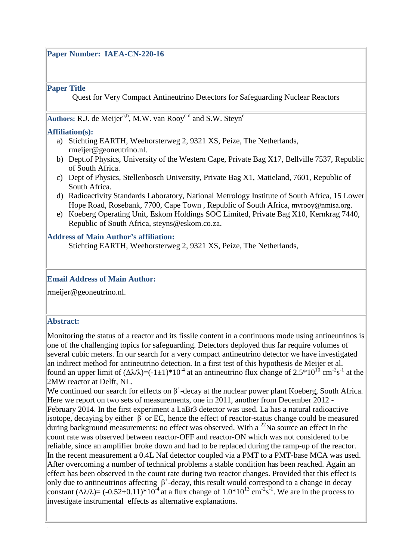### **Paper Number: IAEA-CN-220-16**

### **Paper Title**

Quest for Very Compact Antineutrino Detectors for Safeguarding Nuclear Reactors

# Authors: R.J. de Meijer<sup>a,b</sup>, M.W. van Rooy<sup>c.d</sup> and S.W. Steyn<sup>e</sup>

### **Affiliation(s):**

- a) Stichting EARTH, Weehorsterweg 2, 9321 XS, Peize, The Netherlands, rmeijer@geoneutrino.nl.
- b) Dept.of Physics, University of the Western Cape, Private Bag X17, Bellville 7537, Republic of South Africa.
- c) Dept of Physics, Stellenbosch University, Private Bag X1, Matieland, 7601, Republic of South Africa.
- d) Radioactivity Standards Laboratory, National Metrology Institute of South Africa, 15 Lower Hope Road, Rosebank, 7700, Cape Town , Republic of South Africa, mvrooy@nmisa.org.
- e) Koeberg Operating Unit, Eskom Holdings SOC Limited, Private Bag X10, Kernkrag 7440, Republic of South Africa, steyns@eskom.co.za.

### **Address of Main Author's affiliation:**

Stichting EARTH, Weehorsterweg 2, 9321 XS, Peize, The Netherlands,

### **Email Address of Main Author:**

rmeijer@geoneutrino.nl.

### **Abstract:**

|<br>|<br>|

Monitoring the status of a reactor and its fissile content in a continuous mode using antineutrinos is one of the challenging topics for safeguarding. Detectors deployed thus far require volumes of several cubic meters. In our search for a very compact antineutrino detector we have investigated an indirect method for antineutrino detection. In a first test of this hypothesis de Meijer et al. found an upper limit of  $(\Delta \lambda/\lambda) = (-1 \pm 1)^* 10^{-4}$  at an antineutrino flux change of  $2.5^* 10^{10}$  cm<sup>-2</sup>s<sup>-1</sup> at the 2MW reactor at Delft, NL.

We continued our search for effects on  $\beta^+$ -decay at the nuclear power plant Koeberg, South Africa. Here we report on two sets of measurements, one in 2011, another from December 2012 - February 2014. In the first experiment a LaBr3 detector was used. La has a natural radioactive isotope, decaying by either  $\beta^2$  or EC, hence the effect of reactor-status change could be measured during background measurements: no effect was observed. With a  $^{22}$ Na source an effect in the count rate was observed between reactor-OFF and reactor-ON which was not considered to be reliable, since an amplifier broke down and had to be replaced during the ramp-up of the reactor. In the recent measurement a 0.4L NaI detector coupled via a PMT to a PMT-base MCA was used. After overcoming a number of technical problems a stable condition has been reached. Again an effect has been observed in the count rate during two reactor changes. Provided that this effect is only due to antineutrinos affecting  $\beta^+$ -decay, this result would correspond to a change in decay constant  $(\Delta \lambda/\lambda) = (-0.52 \pm 0.11)^* 10^{-4}$  at a flux change of  $1.0*10^{13}$  cm<sup>-2</sup>s<sup>-1</sup>. We are in the process to investigate instrumental effects as alternative explanations.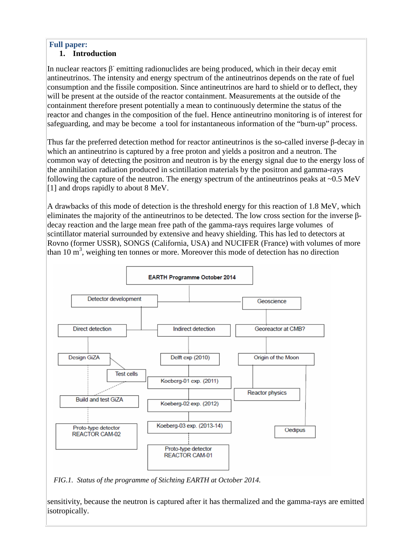# **Full paper:**

# **1. Introduction**

In nuclear reactors  $\beta$  emitting radionuclides are being produced, which in their decay emit antineutrinos. The intensity and energy spectrum of the antineutrinos depends on the rate of fuel consumption and the fissile composition. Since antineutrinos are hard to shield or to deflect, they will be present at the outside of the reactor containment. Measurements at the outside of the containment therefore present potentially a mean to continuously determine the status of the reactor and changes in the composition of the fuel. Hence antineutrino monitoring is of interest for safeguarding, and may be become a tool for instantaneous information of the "burn-up" process.

Thus far the preferred detection method for reactor antineutrinos is the so-called inverse β-decay in which an antineutrino is captured by a free proton and yields a positron and a neutron. The common way of detecting the positron and neutron is by the energy signal due to the energy loss of the annihilation radiation produced in scintillation materials by the positron and gamma-rays following the capture of the neutron. The energy spectrum of the antineutrinos peaks at ~0.5 MeV [1] and drops rapidly to about 8 MeV.

A drawbacks of this mode of detection is the threshold energy for this reaction of 1.8 MeV, which eliminates the majority of the antineutrinos to be detected. The low cross section for the inverse βdecay reaction and the large mean free path of the gamma-rays requires large volumes of scintillator material surrounded by extensive and heavy shielding. This has led to detectors at Rovno (former USSR), SONGS (California, USA) and NUCIFER (France) with volumes of more than  $10 \text{ m}^3$ , weighing ten tonnes or more. Moreover this mode of detection has no direction



*FIG.1. Status of the programme of Stichting EARTH at October 2014.* 

sensitivity, because the neutron is captured after it has thermalized and the gamma-rays are emitted isotropically.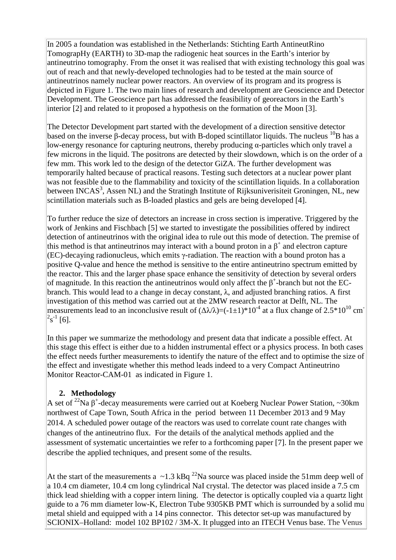In 2005 a foundation was established in the Netherlands: Stichting Earth AntineutRino TomograpHy (EARTH) to 3D-map the radiogenic heat sources in the Earth's interior by antineutrino tomography. From the onset it was realised that with existing technology this goal was out of reach and that newly-developed technologies had to be tested at the main source of antineutrinos namely nuclear power reactors. An overview of its program and its progress is depicted in Figure 1. The two main lines of research and development are Geoscience and Detector Development. The Geoscience part has addressed the feasibility of georeactors in the Earth's interior [2] and related to it proposed a hypothesis on the formation of the Moon [3].

The Detector Development part started with the development of a direction sensitive detector based on the inverse β-decay process, but with B-doped scintillator liquids. The nucleus  $^{10}B$  has a low-energy resonance for capturing neutrons, thereby producing α-particles which only travel a few microns in the liquid. The positrons are detected by their slowdown, which is on the order of a few mm. This work led to the design of the detector GiZA. The further development was temporarily halted because of practical reasons. Testing such detectors at a nuclear power plant was not feasible due to the flammability and toxicity of the scintillation liquids. In a collaboration between INCAS<sup>3</sup>, Assen NL) and the Stratingh Institute of Rijksuniverisiteit Groningen, NL, new scintillation materials such as B-loaded plastics and gels are being developed [4].

To further reduce the size of detectors an increase in cross section is imperative. Triggered by the work of Jenkins and Fischbach [5] we started to investigate the possibilities offered by indirect detection of antineutrinos with the original idea to rule out this mode of detection. The premise of this method is that antineutrinos may interact with a bound proton in a  $\beta^+$  and electron capture (EC)-decaying radionucleus, which emits γ-radiation. The reaction with a bound proton has a positive Q-value and hence the method is sensitive to the entire antineutrino spectrum emitted by the reactor. This and the larger phase space enhance the sensitivity of detection by several orders of magnitude. In this reaction the antineutrinos would only affect the  $\beta^+$ -branch but not the ECbranch. This would lead to a change in decay constant, λ, and adjusted branching ratios. A first investigation of this method was carried out at the 2MW research reactor at Delft, NL. The measurements lead to an inconclusive result of  $(\Delta \lambda/\lambda) = (-1 \pm 1)^* 10^{-4}$  at a flux change of 2.5\*10<sup>10</sup> cm<sup>-</sup>  $2s^{-1}$  [6].

In this paper we summarize the methodology and present data that indicate a possible effect. At this stage this effect is either due to a hidden instrumental effect or a physics process. In both cases the effect needs further measurements to identify the nature of the effect and to optimise the size of the effect and investigate whether this method leads indeed to a very Compact Antineutrino Monitor Reactor-CAM-01 as indicated in Figure 1.

# **2. Methodology**

A set of <sup>22</sup>Na  $\beta^+$ -decay measurements were carried out at Koeberg Nuclear Power Station, ~30km northwest of Cape Town, South Africa in the period between 11 December 2013 and 9 May 2014. A scheduled power outage of the reactors was used to correlate count rate changes with changes of the antineutrino flux. For the details of the analytical methods applied and the assessment of systematic uncertainties we refer to a forthcoming paper [7]. In the present paper we describe the applied techniques, and present some of the results.

At the start of the measurements a  $\sim$ 1.3 kBq <sup>22</sup>Na source was placed inside the 51mm deep well of a 10.4 cm diameter, 10.4 cm long cylindrical NaI crystal. The detector was placed inside a 7.5 cm thick lead shielding with a copper intern lining. The detector is optically coupled via a quartz light guide to a 76 mm diameter low-K, Electron Tube 9305KB PMT which is surrounded by a solid mu metal shield and equipped with a 14 pins connector. This detector set-up was manufactured by SCIONIX–Holland: model 102 BP102 / 3M-X. It plugged into an ITECH Venus base. The Venus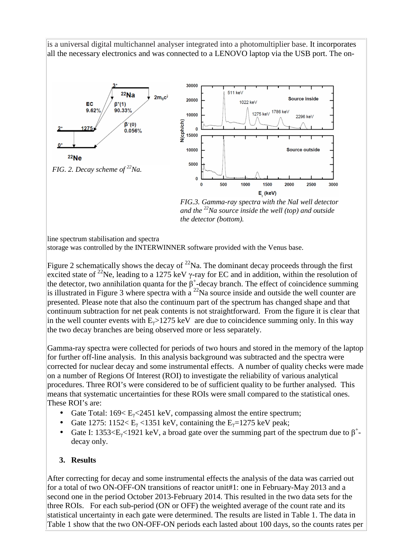is a universal digital multichannel analyser integrated into a photomultiplier base. It incorporates all the necessary electronics and was connected to a LENOVO laptop via the USB port. The on-



*FIG.3. Gamma-ray spectra with the NaI well detector and the <sup>22</sup>Na source inside the well (top) and outside the detector (bottom).* 

line spectrum stabilisation and spectra

storage was controlled by the INTERWINNER software provided with the Venus base.

Figure 2 schematically shows the decay of  $^{22}$ Na. The dominant decay proceeds through the first excited state of <sup>22</sup>Ne, leading to a 1275 keV  $\gamma$ -ray for EC and in addition, within the resolution of the detector, two annihilation quanta for the  $\beta^+$ -decay branch. The effect of coincidence summing is illustrated in Figure 3 where spectra with a  $^{22}$ Na source inside and outside the well counter are presented. Please note that also the continuum part of the spectrum has changed shape and that continuum subtraction for net peak contents is not straightforward. From the figure it is clear that in the well counter events with  $E_y > 1275 \text{ keV}$  are due to coincidence summing only. In this way the two decay branches are being observed more or less separately.

Gamma-ray spectra were collected for periods of two hours and stored in the memory of the laptop for further off-line analysis. In this analysis background was subtracted and the spectra were corrected for nuclear decay and some instrumental effects. A number of quality checks were made on a number of Regions Of Interest (ROI) to investigate the reliability of various analytical procedures. Three ROI's were considered to be of sufficient quality to be further analysed. This means that systematic uncertainties for these ROIs were small compared to the statistical ones. These ROI's are:

- Gate Total:  $169 \le E_y \le 2451$  keV, compassing almost the entire spectrum;
- Gate 1275: 1152<  $E_y$  <1351 keV, containing the  $E_y$ =1275 keV peak;
- Gate I: 1353<E<sub> $\gamma$ </sub><1921 keV, a broad gate over the summing part of the spectrum due to  $\beta^+$ decay only.

## **3. Results**

After correcting for decay and some instrumental effects the analysis of the data was carried out for a total of two ON-OFF-ON transitions of reactor unit#1: one in February-May 2013 and a second one in the period October 2013-February 2014. This resulted in the two data sets for the three ROIs. For each sub-period (ON or OFF) the weighted average of the count rate and its statistical uncertainty in each gate were determined. The results are listed in Table 1. The data in Table 1 show that the two ON-OFF-ON periods each lasted about 100 days, so the counts rates per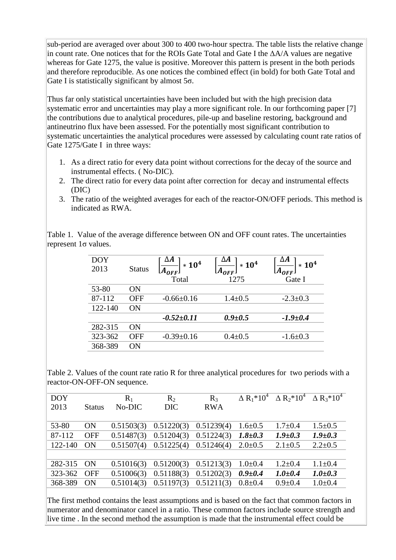sub-period are averaged over about 300 to 400 two-hour spectra. The table lists the relative change in count rate. One notices that for the ROIs Gate Total and Gate I the ∆A/A values are negative whereas for Gate 1275, the value is positive. Moreover this pattern is present in the both periods and therefore reproducible. As one notices the combined effect (in bold) for both Gate Total and Gate I is statistically significant by almost  $5\sigma$ .

Thus far only statistical uncertainties have been included but with the high precision data systematic error and uncertainties may play a more significant role. In our forthcoming paper [7] the contributions due to analytical procedures, pile-up and baseline restoring, background and antineutrino flux have been assessed. For the potentially most significant contribution to systematic uncertainties the analytical procedures were assessed by calculating count rate ratios of Gate 1275/Gate I in three ways:

- 1. As a direct ratio for every data point without corrections for the decay of the source and instrumental effects. ( No-DIC).
- 2. The direct ratio for every data point after correction for decay and instrumental effects (DIC)
- 3. The ratio of the weighted averages for each of the reactor-ON/OFF periods. This method is indicated as RWA.

Table 1. Value of the average difference between ON and OFF count rates. The uncertainties represent 1σ values.

| <b>DOY</b><br>2013 | <b>Status</b> | ΔА<br>$*10^4$<br>$(A_{OFF})$ | ΔА<br>$*104$<br>$A_{OFF}$ | ΔА<br>$* 10^4$<br>$A_{OFF}$ ] |
|--------------------|---------------|------------------------------|---------------------------|-------------------------------|
|                    |               | Total                        | 1275                      | Gate I                        |
| 53-80              | ON            |                              |                           |                               |
| 87-112             | <b>OFF</b>    | $-0.66 \pm 0.16$             | $1.4 \pm 0.5$             | $-2.3 \pm 0.3$                |
| 122-140            | ON            |                              |                           |                               |
|                    |               | $-0.52 \pm 0.11$             | $0.9 \pm 0.5$             | $-1.9 \pm 0.4$                |
| 282-315            | ON            |                              |                           |                               |
| 323-362            | <b>OFF</b>    | $-0.39+0.16$                 | $0.4 \pm 0.5$             | $-1.6 \pm 0.3$                |
| 368-389            | ON            |                              |                           |                               |

Table 2. Values of the count rate ratio R for three analytical procedures for two periods with a reactor-ON-OFF-ON sequence.

| <b>Status</b> | $\mathbf{R}_1$<br>No-DIC | $R_2$<br><b>DIC</b> | $R_3$<br><b>RWA</b> | $\Delta R_1*10^4$ |               | $\Delta$ R <sub>3</sub> *10 <sup>4</sup> |
|---------------|--------------------------|---------------------|---------------------|-------------------|---------------|------------------------------------------|
| ON            | 0.51503(3)               | 0.51220(3)          | 0.51239(4)          | $1.6 \pm 0.5$     | $1.7 \pm 0.4$ | $1.5 \pm 0.5$                            |
| <b>OFF</b>    | 0.51487(3)               | 0.51204(3)          | 0.51224(3)          | $1.8 + 0.3$       | $1.9 \pm 0.3$ | $1.9 \pm 0.3$                            |
| ON            | 0.51507(4)               | 0.51225(4)          | 0.51246(4)          | $2.0 \pm 0.5$     | $2.1 \pm 0.5$ | $2.2 \pm 0.5$                            |
|               |                          |                     |                     |                   |               |                                          |
| ON            | 0.51016(3)               | 0.51200(3)          | 0.51213(3)          | $1.0 \pm 0.4$     | $1.2 \pm 0.4$ | $1.1 \pm 0.4$                            |
| <b>OFF</b>    | 0.51006(3)               | 0.51188(3)          | 0.51202(3)          | $0.9 + 0.4$       | $1.0 + 0.4$   | $1.0 + 0.3$                              |
| <b>ON</b>     | 0.51014(3)               | 0.51197(3)          | 0.51211(3)          | $0.8 + 0.4$       | $0.9 + 0.4$   | $1.0 + 0.4$                              |
|               |                          |                     |                     |                   |               | $\Delta R_2^* 10^4$                      |

The first method contains the least assumptions and is based on the fact that common factors in numerator and denominator cancel in a ratio. These common factors include source strength and live time . In the second method the assumption is made that the instrumental effect could be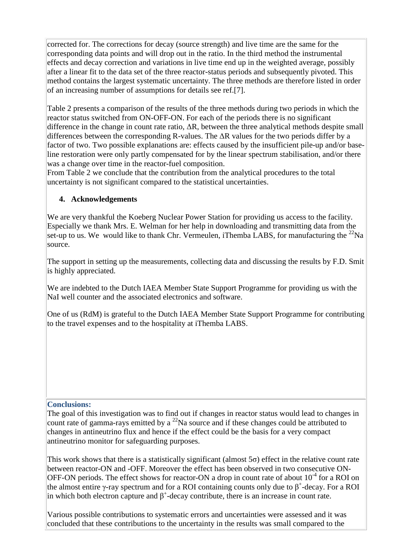corrected for. The corrections for decay (source strength) and live time are the same for the corresponding data points and will drop out in the ratio. In the third method the instrumental effects and decay correction and variations in live time end up in the weighted average, possibly after a linear fit to the data set of the three reactor-status periods and subsequently pivoted. This method contains the largest systematic uncertainty. The three methods are therefore listed in order of an increasing number of assumptions for details see ref.[7].

Table 2 presents a comparison of the results of the three methods during two periods in which the reactor status switched from ON-OFF-ON. For each of the periods there is no significant difference in the change in count rate ratio, ∆R, between the three analytical methods despite small differences between the corresponding R-values. The ∆R values for the two periods differ by a factor of two. Two possible explanations are: effects caused by the insufficient pile-up and/or baseline restoration were only partly compensated for by the linear spectrum stabilisation, and/or there was a change over time in the reactor-fuel composition.

From Table 2 we conclude that the contribution from the analytical procedures to the total uncertainty is not significant compared to the statistical uncertainties.

# **4. Acknowledgements**

We are very thankful the Koeberg Nuclear Power Station for providing us access to the facility. Especially we thank Mrs. E. Welman for her help in downloading and transmitting data from the set-up to us. We would like to thank Chr. Vermeulen, iThemba LABS, for manufacturing the  $^{22}$ Na source.

The support in setting up the measurements, collecting data and discussing the results by F.D. Smit is highly appreciated.

We are indebted to the Dutch IAEA Member State Support Programme for providing us with the NaI well counter and the associated electronics and software.

One of us (RdM) is grateful to the Dutch IAEA Member State Support Programme for contributing to the travel expenses and to the hospitality at iThemba LABS.

## **Conclusions:**

The goal of this investigation was to find out if changes in reactor status would lead to changes in count rate of gamma-rays emitted by a  $^{22}$ Na source and if these changes could be attributed to changes in antineutrino flux and hence if the effect could be the basis for a very compact antineutrino monitor for safeguarding purposes.

This work shows that there is a statistically significant (almost  $5\sigma$ ) effect in the relative count rate between reactor-ON and -OFF. Moreover the effect has been observed in two consecutive ON-OFF-ON periods. The effect shows for reactor-ON a drop in count rate of about  $10^{-4}$  for a ROI on the almost entire  $\gamma$ -ray spectrum and for a ROI containing counts only due to  $\beta^*$ -decay. For a ROI in which both electron capture and  $\beta^+$ -decay contribute, there is an increase in count rate.

Various possible contributions to systematic errors and uncertainties were assessed and it was concluded that these contributions to the uncertainty in the results was small compared to the